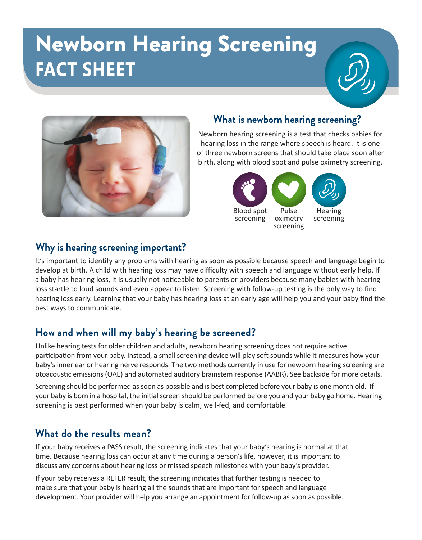# Newborn Hearing Screening **FACT SHEET**



# **What is newborn hearing screening?**

Newborn hearing screening is a test that checks babies for hearing loss in the range where speech is heard. It is one of three newborn screens that should take place soon after birth, along with blood spot and pulse oximetry screening.



#### **Why is hearing screening important?**

It's important to identify any problems with hearing as soon as possible because speech and language begin to develop at birth. A child with hearing loss may have difficulty with speech and language without early help. If a baby has hearing loss, it is usually not noticeable to parents or providers because many babies with hearing loss startle to loud sounds and even appear to listen. Screening with follow-up testing is the only way to find hearing loss early. Learning that your baby has hearing loss at an early age will help you and your baby find the best ways to communicate.

# **How and when will my baby's hearing be screened?**

Unlike hearing tests for older children and adults, newborn hearing screening does not require active participation from your baby. Instead, a small screening device will play soft sounds while it measures how your baby's inner ear or hearing nerve responds. The two methods currently in use for newborn hearing screening are otoacoustic emissions (OAE) and automated auditory brainstem response (AABR). See backside for more details.

Screening should be performed as soon as possible and is best completed before your baby is one month old. If your baby is born in a hospital, the initial screen should be performed before you and your baby go home. Hearing screening is best performed when your baby is calm, well-fed, and comfortable.

#### **What do the results mean?**

If your baby receives a PASS result, the screening indicates that your baby's hearing is normal at that time. Because hearing loss can occur at any time during a person's life, however, it is important to discuss any concerns about hearing loss or missed speech milestones with your baby's provider.

If your baby receives a REFER result, the screening indicates that further testing is needed to make sure that your baby is hearing all the sounds that are important for speech and language development. Your provider will help you arrange an appointment for follow-up as soon as possible.